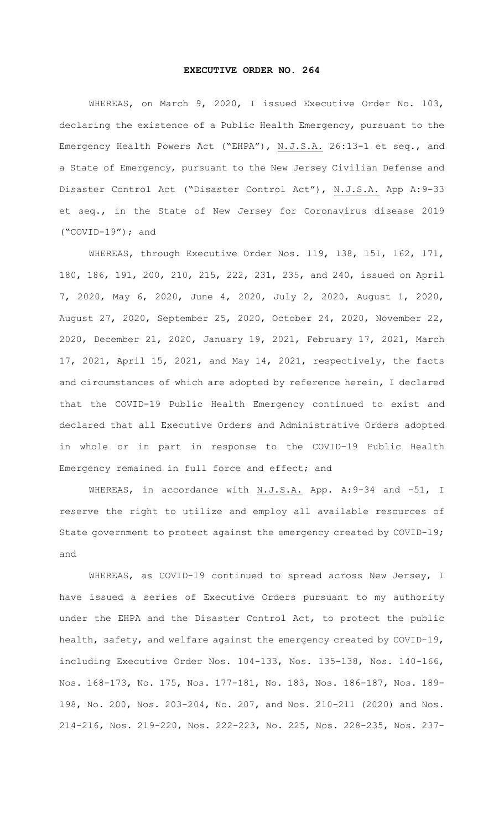## **EXECUTIVE ORDER NO. 264**

WHEREAS, on March 9, 2020, I issued Executive Order No. 103, declaring the existence of a Public Health Emergency, pursuant to the Emergency Health Powers Act ("EHPA"), N.J.S.A. 26:13-1 et seq., and a State of Emergency, pursuant to the New Jersey Civilian Defense and Disaster Control Act ("Disaster Control Act"), N.J.S.A. App A:9-33 et seq., in the State of New Jersey for Coronavirus disease 2019 ("COVID-19"); and

WHEREAS, through Executive Order Nos. 119, 138, 151, 162, 171, 180, 186, 191, 200, 210, 215, 222, 231, 235, and 240, issued on April 7, 2020, May 6, 2020, June 4, 2020, July 2, 2020, August 1, 2020, August 27, 2020, September 25, 2020, October 24, 2020, November 22, 2020, December 21, 2020, January 19, 2021, February 17, 2021, March 17, 2021, April 15, 2021, and May 14, 2021, respectively, the facts and circumstances of which are adopted by reference herein, I declared that the COVID-19 Public Health Emergency continued to exist and declared that all Executive Orders and Administrative Orders adopted in whole or in part in response to the COVID-19 Public Health Emergency remained in full force and effect; and

WHEREAS, in accordance with N.J.S.A. App. A:9-34 and -51, I reserve the right to utilize and employ all available resources of State government to protect against the emergency created by COVID-19; and

WHEREAS, as COVID-19 continued to spread across New Jersey, I have issued a series of Executive Orders pursuant to my authority under the EHPA and the Disaster Control Act, to protect the public health, safety, and welfare against the emergency created by COVID-19, including Executive Order Nos. 104-133, Nos. 135-138, Nos. 140-166, Nos. 168-173, No. 175, Nos. 177-181, No. 183, Nos. 186-187, Nos. 189- 198, No. 200, Nos. 203-204, No. 207, and Nos. 210-211 (2020) and Nos. 214-216, Nos. 219-220, Nos. 222-223, No. 225, Nos. 228-235, Nos. 237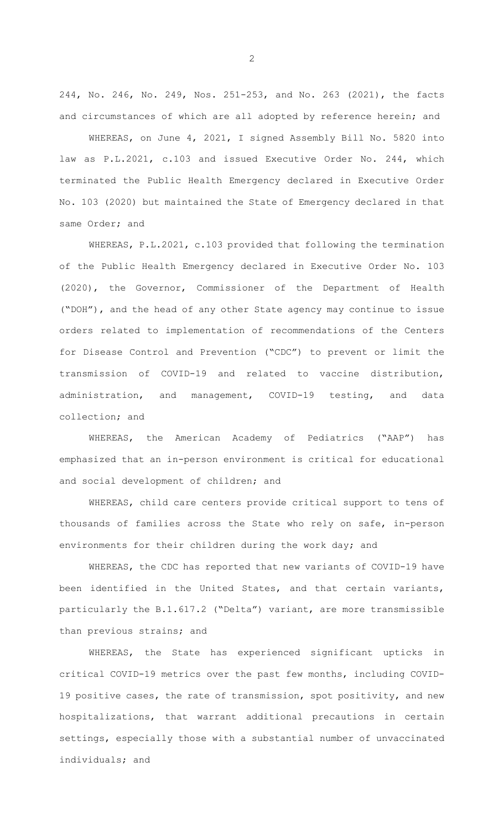244, No. 246, No. 249, Nos. 251-253, and No. 263 (2021), the facts and circumstances of which are all adopted by reference herein; and

WHEREAS, on June 4, 2021, I signed Assembly Bill No. 5820 into law as P.L.2021, c.103 and issued Executive Order No. 244, which terminated the Public Health Emergency declared in Executive Order No. 103 (2020) but maintained the State of Emergency declared in that same Order; and

WHEREAS, P.L.2021, c.103 provided that following the termination of the Public Health Emergency declared in Executive Order No. 103 (2020), the Governor, Commissioner of the Department of Health ("DOH"), and the head of any other State agency may continue to issue orders related to implementation of recommendations of the Centers for Disease Control and Prevention ("CDC") to prevent or limit the transmission of COVID-19 and related to vaccine distribution, administration, and management, COVID-19 testing, and data collection; and

WHEREAS, the American Academy of Pediatrics ("AAP") has emphasized that an in-person environment is critical for educational and social development of children; and

WHEREAS, child care centers provide critical support to tens of thousands of families across the State who rely on safe, in-person environments for their children during the work day; and

WHEREAS, the CDC has reported that new variants of COVID-19 have been identified in the United States, and that certain variants, particularly the B.1.617.2 ("Delta") variant, are more transmissible than previous strains; and

WHEREAS, the State has experienced significant upticks in critical COVID-19 metrics over the past few months, including COVID-19 positive cases, the rate of transmission, spot positivity, and new hospitalizations, that warrant additional precautions in certain settings, especially those with a substantial number of unvaccinated individuals; and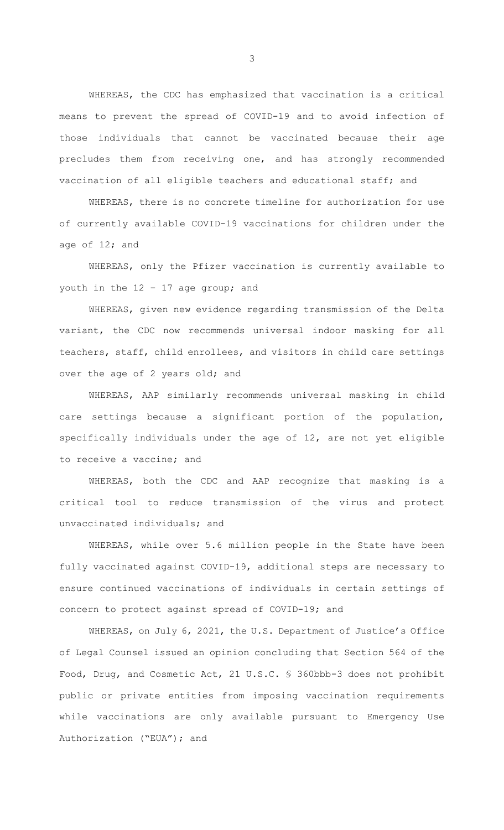WHEREAS, the CDC has emphasized that vaccination is a critical means to prevent the spread of COVID-19 and to avoid infection of those individuals that cannot be vaccinated because their age precludes them from receiving one, and has strongly recommended vaccination of all eligible teachers and educational staff; and

WHEREAS, there is no concrete timeline for authorization for use of currently available COVID-19 vaccinations for children under the age of 12; and

WHEREAS, only the Pfizer vaccination is currently available to youth in the 12 – 17 age group; and

WHEREAS, given new evidence regarding transmission of the Delta variant, the CDC now recommends universal indoor masking for all teachers, staff, child enrollees, and visitors in child care settings over the age of 2 years old; and

WHEREAS, AAP similarly recommends universal masking in child care settings because a significant portion of the population, specifically individuals under the age of 12, are not yet eligible to receive a vaccine; and

WHEREAS, both the CDC and AAP recognize that masking is a critical tool to reduce transmission of the virus and protect unvaccinated individuals; and

WHEREAS, while over 5.6 million people in the State have been fully vaccinated against COVID-19, additional steps are necessary to ensure continued vaccinations of individuals in certain settings of concern to protect against spread of COVID-19; and

WHEREAS, on July 6, 2021, the U.S. Department of Justice's Office of Legal Counsel issued an opinion concluding that Section 564 of the Food, Drug, and Cosmetic Act, 21 U.S.C. § 360bbb-3 does not prohibit public or private entities from imposing vaccination requirements while vaccinations are only available pursuant to Emergency Use Authorization ("EUA"); and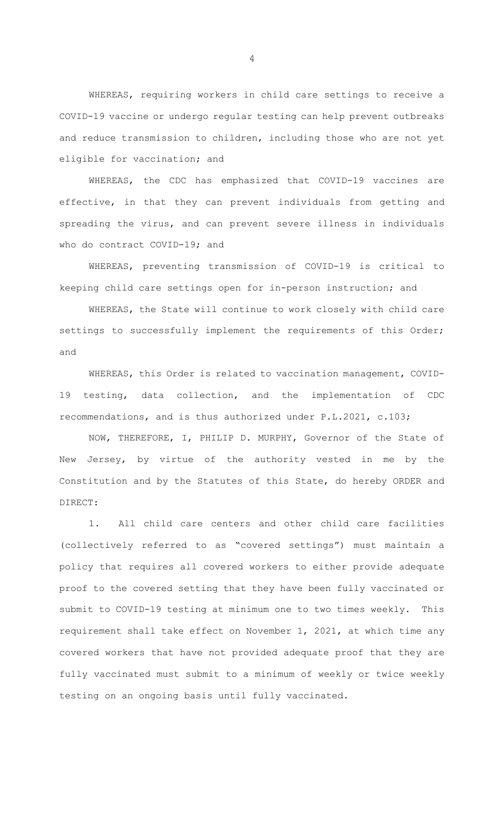WHEREAS, requiring workers in child care settings to receive a COVID-19 vaccine or undergo regular testing can help prevent outbreaks and reduce transmission to children, including those who are not yet eligible for vaccination; and

WHEREAS, the CDC has emphasized that COVID-19 vaccines are effective, in that they can prevent individuals from getting and spreading the virus, and can prevent severe illness in individuals who do contract COVID-19; and

WHEREAS, preventing transmission of COVID-19 is critical to keeping child care settings open for in-person instruction; and

WHEREAS, the State will continue to work closely with child care settings to successfully implement the requirements of this Order; and

WHEREAS, this Order is related to vaccination management, COVID-19 testing, data collection, and the implementation of CDC recommendations, and is thus authorized under P.L.2021, c.103;

NOW, THEREFORE, I, PHILIP D. MURPHY, Governor of the State of New Jersey, by virtue of the authority vested in me by the Constitution and by the Statutes of this State, do hereby ORDER and DIRECT:

1. All child care centers and other child care facilities (collectively referred to as "covered settings") must maintain a policy that requires all covered workers to either provide adequate proof to the covered setting that they have been fully vaccinated or submit to COVID-19 testing at minimum one to two times weekly. This requirement shall take effect on November 1, 2021, at which time any covered workers that have not provided adequate proof that they are fully vaccinated must submit to a minimum of weekly or twice weekly testing on an ongoing basis until fully vaccinated.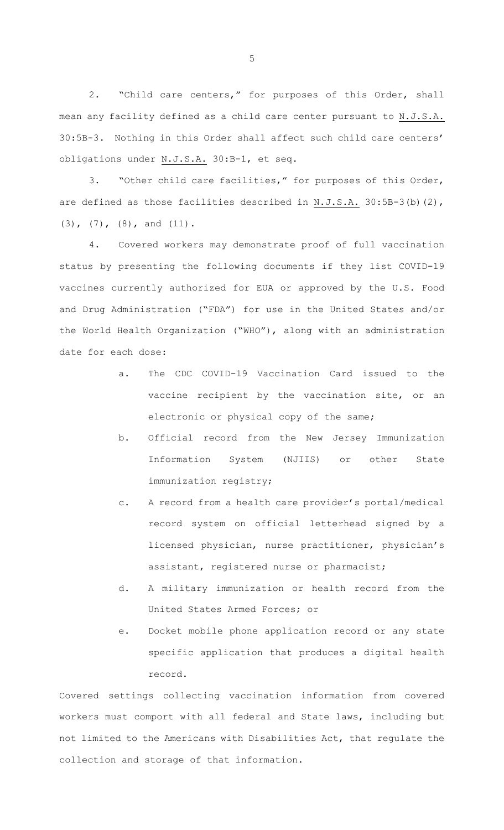2. "Child care centers," for purposes of this Order, shall mean any facility defined as a child care center pursuant to N.J.S.A. 30:5B-3. Nothing in this Order shall affect such child care centers' obligations under N.J.S.A. 30:B-1, et seq.

3. "Other child care facilities," for purposes of this Order, are defined as those facilities described in N.J.S.A. 30:5B-3(b)(2), (3), (7), (8), and (11).

4. Covered workers may demonstrate proof of full vaccination status by presenting the following documents if they list COVID-19 vaccines currently authorized for EUA or approved by the U.S. Food and Drug Administration ("FDA") for use in the United States and/or the World Health Organization ("WHO"), along with an administration date for each dose:

- a. The CDC COVID-19 Vaccination Card issued to the vaccine recipient by the vaccination site, or an electronic or physical copy of the same;
- b. Official record from the New Jersey Immunization Information System (NJIIS) or other State immunization registry;
- c. A record from a health care provider's portal/medical record system on official letterhead signed by a licensed physician, nurse practitioner, physician's assistant, registered nurse or pharmacist;
- d. A military immunization or health record from the United States Armed Forces; or
- e. Docket mobile phone application record or any state specific application that produces a digital health record.

Covered settings collecting vaccination information from covered workers must comport with all federal and State laws, including but not limited to the Americans with Disabilities Act, that regulate the collection and storage of that information.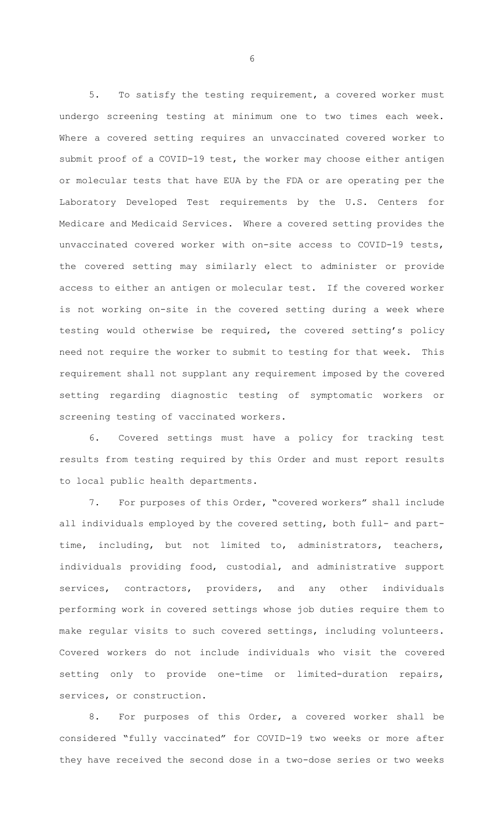5. To satisfy the testing requirement, a covered worker must undergo screening testing at minimum one to two times each week. Where a covered setting requires an unvaccinated covered worker to submit proof of a COVID-19 test, the worker may choose either antigen or molecular tests that have EUA by the FDA or are operating per the Laboratory Developed Test requirements by the U.S. Centers for Medicare and Medicaid Services. Where a covered setting provides the unvaccinated covered worker with on-site access to COVID-19 tests, the covered setting may similarly elect to administer or provide access to either an antigen or molecular test. If the covered worker is not working on-site in the covered setting during a week where testing would otherwise be required, the covered setting's policy need not require the worker to submit to testing for that week. This requirement shall not supplant any requirement imposed by the covered setting regarding diagnostic testing of symptomatic workers or screening testing of vaccinated workers.

6. Covered settings must have a policy for tracking test results from testing required by this Order and must report results to local public health departments.

7. For purposes of this Order, "covered workers" shall include all individuals employed by the covered setting, both full- and parttime, including, but not limited to, administrators, teachers, individuals providing food, custodial, and administrative support services, contractors, providers, and any other individuals performing work in covered settings whose job duties require them to make regular visits to such covered settings, including volunteers. Covered workers do not include individuals who visit the covered setting only to provide one-time or limited-duration repairs, services, or construction.

8. For purposes of this Order, a covered worker shall be considered "fully vaccinated" for COVID-19 two weeks or more after they have received the second dose in a two-dose series or two weeks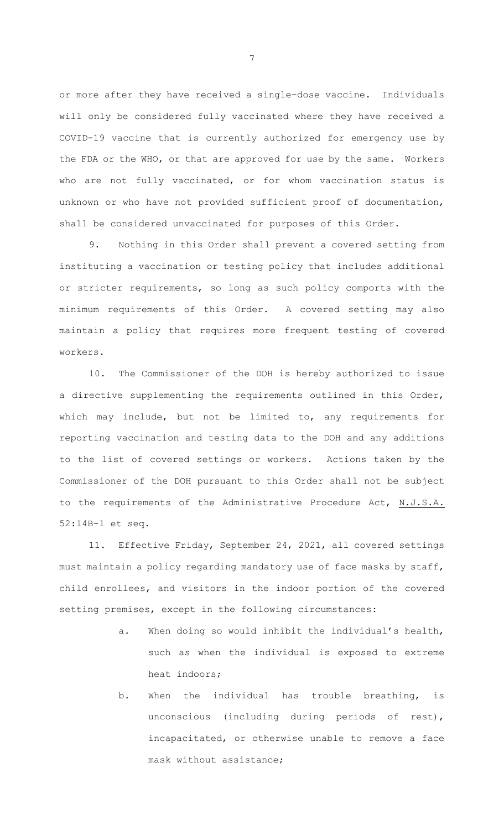or more after they have received a single-dose vaccine. Individuals will only be considered fully vaccinated where they have received a COVID-19 vaccine that is currently authorized for emergency use by the FDA or the WHO, or that are approved for use by the same. Workers who are not fully vaccinated, or for whom vaccination status is unknown or who have not provided sufficient proof of documentation, shall be considered unvaccinated for purposes of this Order.

9. Nothing in this Order shall prevent a covered setting from instituting a vaccination or testing policy that includes additional or stricter requirements, so long as such policy comports with the minimum requirements of this Order. A covered setting may also maintain a policy that requires more frequent testing of covered workers.

10. The Commissioner of the DOH is hereby authorized to issue a directive supplementing the requirements outlined in this Order, which may include, but not be limited to, any requirements for reporting vaccination and testing data to the DOH and any additions to the list of covered settings or workers. Actions taken by the Commissioner of the DOH pursuant to this Order shall not be subject to the requirements of the Administrative Procedure Act, N.J.S.A. 52:14B-1 et seq.

11. Effective Friday, September 24, 2021, all covered settings must maintain a policy regarding mandatory use of face masks by staff, child enrollees, and visitors in the indoor portion of the covered setting premises, except in the following circumstances:

- a. When doing so would inhibit the individual's health, such as when the individual is exposed to extreme heat indoors;
- b. When the individual has trouble breathing, is unconscious (including during periods of rest), incapacitated, or otherwise unable to remove a face mask without assistance;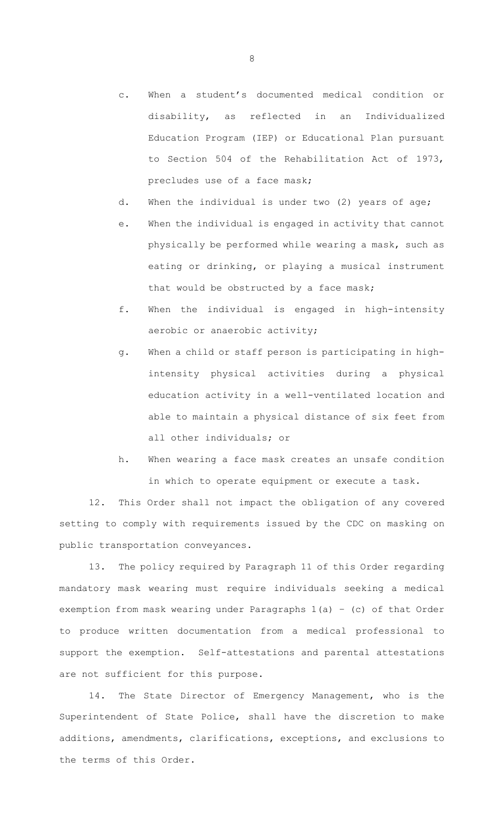- c. When a student's documented medical condition or disability, as reflected in an Individualized Education Program (IEP) or Educational Plan pursuant to Section 504 of the Rehabilitation Act of 1973, precludes use of a face mask;
- d. When the individual is under two (2) years of age;
- e. When the individual is engaged in activity that cannot physically be performed while wearing a mask, such as eating or drinking, or playing a musical instrument that would be obstructed by a face mask;
- f. When the individual is engaged in high-intensity aerobic or anaerobic activity;
- g. When a child or staff person is participating in highintensity physical activities during a physical education activity in a well-ventilated location and able to maintain a physical distance of six feet from all other individuals; or
- h. When wearing a face mask creates an unsafe condition in which to operate equipment or execute a task.

12. This Order shall not impact the obligation of any covered setting to comply with requirements issued by the CDC on masking on public transportation conveyances.

13. The policy required by Paragraph 11 of this Order regarding mandatory mask wearing must require individuals seeking a medical exemption from mask wearing under Paragraphs 1(a) – (c) of that Order to produce written documentation from a medical professional to support the exemption. Self-attestations and parental attestations are not sufficient for this purpose.

14. The State Director of Emergency Management, who is the Superintendent of State Police, shall have the discretion to make additions, amendments, clarifications, exceptions, and exclusions to the terms of this Order.